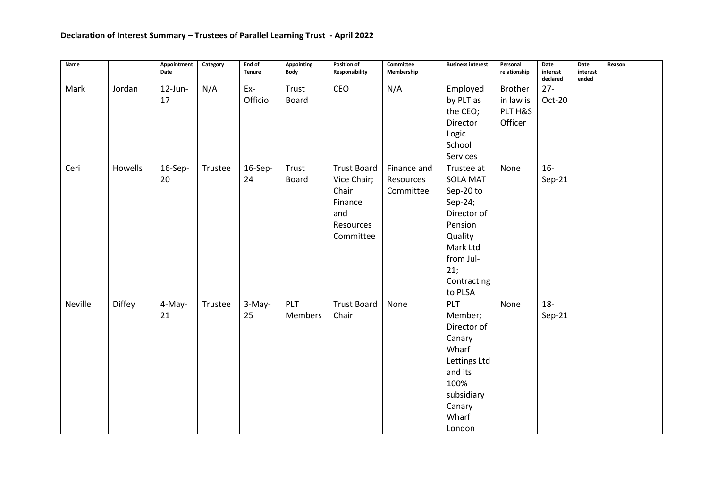| Name    |         | Appointment<br>Date | Category | End of<br><b>Tenure</b> | <b>Appointing</b><br>Body | Position of<br>Responsibility                                                          | Committee<br>Membership               | <b>Business interest</b>                                                                                                                             | Personal<br>relationship                          | Date<br>interest<br>declared | Date<br>interest<br>ended | Reason |
|---------|---------|---------------------|----------|-------------------------|---------------------------|----------------------------------------------------------------------------------------|---------------------------------------|------------------------------------------------------------------------------------------------------------------------------------------------------|---------------------------------------------------|------------------------------|---------------------------|--------|
| Mark    | Jordan  | 12-Jun-<br>17       | N/A      | Ex-<br>Officio          | Trust<br><b>Board</b>     | CEO                                                                                    | N/A                                   | Employed<br>by PLT as<br>the CEO;<br>Director<br>Logic<br>School<br>Services                                                                         | <b>Brother</b><br>in law is<br>PLT H&S<br>Officer | $27 -$<br>Oct-20             |                           |        |
| Ceri    | Howells | 16-Sep-<br>20       | Trustee  | 16-Sep-<br>24           | Trust<br><b>Board</b>     | <b>Trust Board</b><br>Vice Chair;<br>Chair<br>Finance<br>and<br>Resources<br>Committee | Finance and<br>Resources<br>Committee | Trustee at<br><b>SOLA MAT</b><br>Sep-20 to<br>Sep-24;<br>Director of<br>Pension<br>Quality<br>Mark Ltd<br>from Jul-<br>21;<br>Contracting<br>to PLSA | None                                              | $16-$<br>$Sep-21$            |                           |        |
| Neville | Diffey  | 4-May-<br>21        | Trustee  | 3-May-<br>25            | PLT<br>Members            | <b>Trust Board</b><br>Chair                                                            | None                                  | PLT<br>Member;<br>Director of<br>Canary<br>Wharf<br>Lettings Ltd<br>and its<br>100%<br>subsidiary<br>Canary<br>Wharf<br>London                       | None                                              | $18-$<br>$Sep-21$            |                           |        |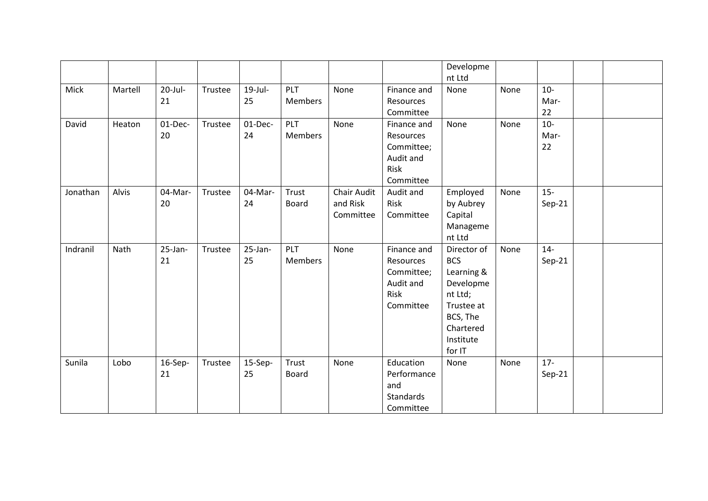|          |         |                  |         |                  |                              |                                             |                                                                          | Developme<br>nt Ltd                                                                                                           |      |                     |  |
|----------|---------|------------------|---------|------------------|------------------------------|---------------------------------------------|--------------------------------------------------------------------------|-------------------------------------------------------------------------------------------------------------------------------|------|---------------------|--|
| Mick     | Martell | $20$ -Jul-<br>21 | Trustee | $19$ -Jul-<br>25 | <b>PLT</b><br><b>Members</b> | None                                        | Finance and<br>Resources<br>Committee                                    | None                                                                                                                          | None | $10-$<br>Mar-<br>22 |  |
| David    | Heaton  | 01-Dec-<br>20    | Trustee | 01-Dec-<br>24    | <b>PLT</b><br>Members        | None                                        | Finance and<br>Resources<br>Committee;<br>Audit and<br>Risk<br>Committee | None                                                                                                                          | None | $10-$<br>Mar-<br>22 |  |
| Jonathan | Alvis   | 04-Mar-<br>20    | Trustee | 04-Mar-<br>24    | Trust<br><b>Board</b>        | <b>Chair Audit</b><br>and Risk<br>Committee | Audit and<br>Risk<br>Committee                                           | Employed<br>by Aubrey<br>Capital<br>Manageme<br>nt Ltd                                                                        | None | $15 -$<br>$Sep-21$  |  |
| Indranil | Nath    | 25-Jan-<br>21    | Trustee | $25$ -Jan-<br>25 | PLT<br>Members               | None                                        | Finance and<br>Resources<br>Committee;<br>Audit and<br>Risk<br>Committee | Director of<br><b>BCS</b><br>Learning &<br>Developme<br>nt Ltd;<br>Trustee at<br>BCS, The<br>Chartered<br>Institute<br>for IT | None | $14-$<br>$Sep-21$   |  |
| Sunila   | Lobo    | 16-Sep-<br>21    | Trustee | 15-Sep-<br>25    | Trust<br><b>Board</b>        | None                                        | Education<br>Performance<br>and<br>Standards<br>Committee                | None                                                                                                                          | None | $17 -$<br>$Sep-21$  |  |